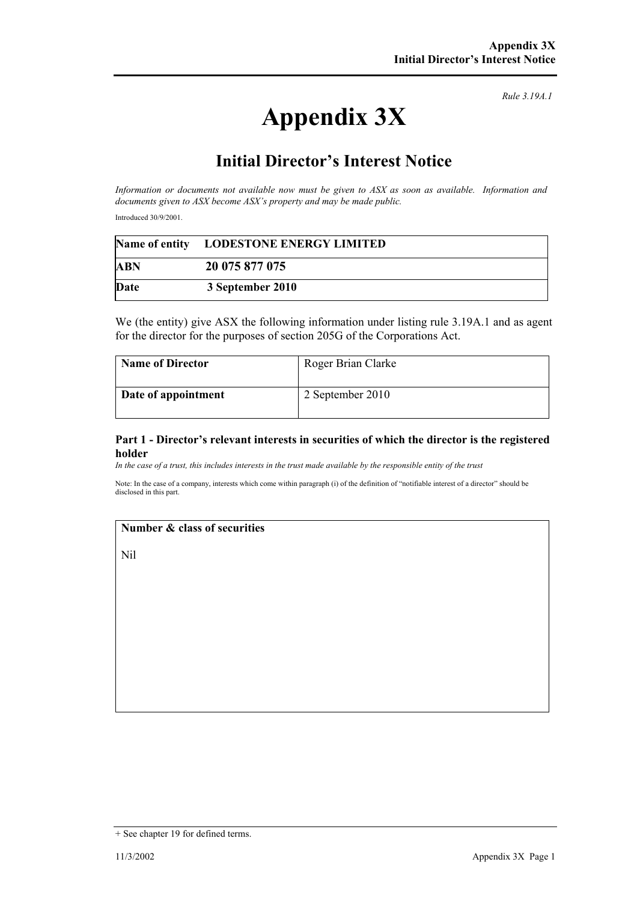# **Appendix 3X**

*Rule 3.19A.1*

## **Initial Director's Interest Notice**

*Information or documents not available now must be given to ASX as soon as available. Information and documents given to ASX become ASX's property and may be made public.* 

Introduced 30/9/2001.

|      | Name of entity LODESTONE ENERGY LIMITED |
|------|-----------------------------------------|
| ABN  | 20 075 877 075                          |
| Date | 3 September 2010                        |

We (the entity) give ASX the following information under listing rule 3.19A.1 and as agent for the director for the purposes of section 205G of the Corporations Act.

| <b>Name of Director</b> | Roger Brian Clarke |
|-------------------------|--------------------|
| Date of appointment     | 2 September 2010   |

#### **Part 1 - Director's relevant interests in securities of which the director is the registered holder**

*In the case of a trust, this includes interests in the trust made available by the responsible entity of the trust*

Note: In the case of a company, interests which come within paragraph (i) of the definition of "notifiable interest of a director" should be disclosed in this part.

#### **Number & class of securities**

Nil

<sup>+</sup> See chapter 19 for defined terms.